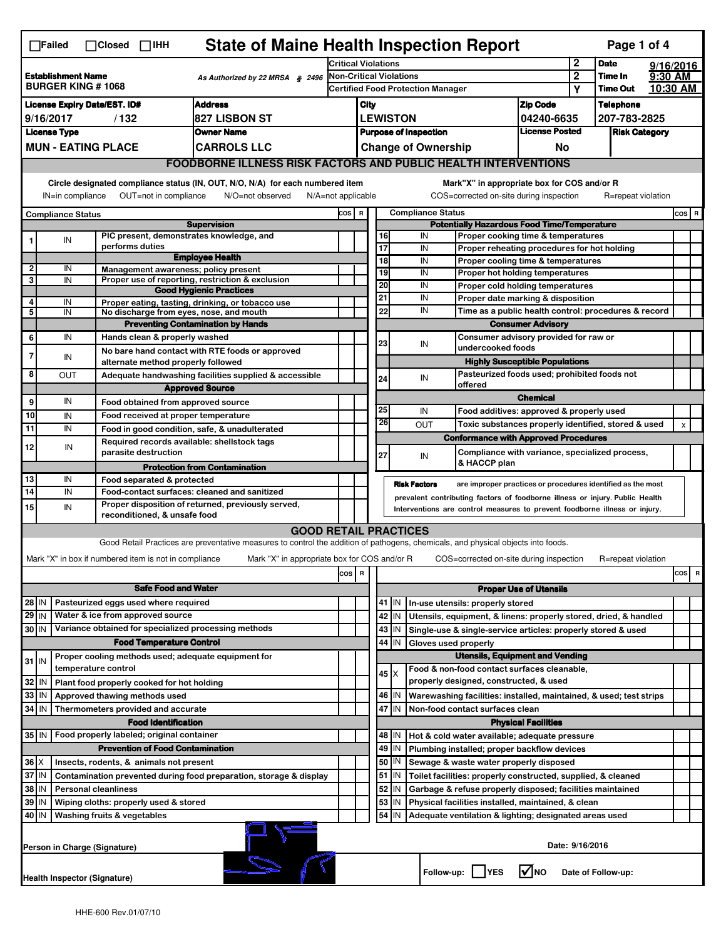|                                                                             | <b>State of Maine Health Inspection Report</b><br>Page 1 of 4<br>$\Box$ Failed<br>$\Box$ Closed $\Box$ IHH                                                                                                                                                                                |                                                                                                                                                                        |                                                       |                                                                                                                                   |                            |                                                       |                                          |             |                            |                                                                              |                                       |              |                    |  |                |  |
|-----------------------------------------------------------------------------|-------------------------------------------------------------------------------------------------------------------------------------------------------------------------------------------------------------------------------------------------------------------------------------------|------------------------------------------------------------------------------------------------------------------------------------------------------------------------|-------------------------------------------------------|-----------------------------------------------------------------------------------------------------------------------------------|----------------------------|-------------------------------------------------------|------------------------------------------|-------------|----------------------------|------------------------------------------------------------------------------|---------------------------------------|--------------|--------------------|--|----------------|--|
|                                                                             |                                                                                                                                                                                                                                                                                           |                                                                                                                                                                        |                                                       |                                                                                                                                   | <b>Critical Violations</b> |                                                       |                                          |             |                            |                                                                              |                                       | $\mathbf{2}$ | <b>Date</b>        |  | 9/16/2016      |  |
| <b>Establishment Name</b><br>As Authorized by 22 MRSA § 2496                |                                                                                                                                                                                                                                                                                           |                                                                                                                                                                        |                                                       |                                                                                                                                   | Non-Critical Violations    |                                                       |                                          |             |                            |                                                                              | $\boldsymbol{2}$                      | Time In      | 9:30 AM            |  |                |  |
|                                                                             | <b>BURGER KING #1068</b>                                                                                                                                                                                                                                                                  |                                                                                                                                                                        |                                                       |                                                                                                                                   |                            |                                                       | <b>Certified Food Protection Manager</b> |             |                            |                                                                              |                                       | Υ            | <b>Time Out</b>    |  | 10:30 AM       |  |
| <b>Address</b><br><b>License Expiry Date/EST. ID#</b>                       |                                                                                                                                                                                                                                                                                           |                                                                                                                                                                        |                                                       |                                                                                                                                   |                            | City                                                  |                                          |             | <b>Zip Code</b>            |                                                                              | <b>Telephone</b>                      |              |                    |  |                |  |
| <b>827 LISBON ST</b><br>9/16/2017<br>/132                                   |                                                                                                                                                                                                                                                                                           |                                                                                                                                                                        |                                                       |                                                                                                                                   |                            | <b>LEWISTON</b><br>04240-6635                         |                                          |             |                            | 207-783-2825                                                                 |                                       |              |                    |  |                |  |
| <b>License Type</b><br><b>Owner Name</b>                                    |                                                                                                                                                                                                                                                                                           |                                                                                                                                                                        |                                                       |                                                                                                                                   |                            | <b>License Posted</b><br><b>Purpose of Inspection</b> |                                          |             |                            |                                                                              | <b>Risk Category</b>                  |              |                    |  |                |  |
|                                                                             | <b>MUN - EATING PLACE</b><br><b>CARROLS LLC</b>                                                                                                                                                                                                                                           |                                                                                                                                                                        |                                                       |                                                                                                                                   |                            |                                                       |                                          |             | <b>Change of Ownership</b> |                                                                              | No                                    |              |                    |  |                |  |
|                                                                             |                                                                                                                                                                                                                                                                                           |                                                                                                                                                                        |                                                       | <b>FOODBORNE ILLNESS RISK FACTORS AND PUBLIC HEALTH INTERVENTIONS</b>                                                             |                            |                                                       |                                          |             |                            |                                                                              |                                       |              |                    |  |                |  |
|                                                                             | Circle designated compliance status (IN, OUT, N/O, N/A) for each numbered item<br>Mark"X" in appropriate box for COS and/or R<br>OUT=not in compliance<br>COS=corrected on-site during inspection<br>IN=in compliance<br>N/O=not observed<br>$N/A = not$ applicable<br>R=repeat violation |                                                                                                                                                                        |                                                       |                                                                                                                                   |                            |                                                       |                                          |             |                            |                                                                              |                                       |              |                    |  |                |  |
| <b>Compliance Status</b>                                                    |                                                                                                                                                                                                                                                                                           |                                                                                                                                                                        |                                                       |                                                                                                                                   |                            | <b>Compliance Status</b><br>COS R                     |                                          |             |                            |                                                                              |                                       |              |                    |  | $cos$ R        |  |
| <b>Supervision</b>                                                          |                                                                                                                                                                                                                                                                                           |                                                                                                                                                                        |                                                       |                                                                                                                                   |                            | <b>Potentially Hazardous Food Time/Temperature</b>    |                                          |             |                            |                                                                              |                                       |              |                    |  |                |  |
|                                                                             | IN                                                                                                                                                                                                                                                                                        |                                                                                                                                                                        |                                                       | PIC present, demonstrates knowledge, and                                                                                          |                            |                                                       | 16                                       |             | IN                         | Proper cooking time & temperatures                                           |                                       |              |                    |  |                |  |
|                                                                             |                                                                                                                                                                                                                                                                                           |                                                                                                                                                                        | performs duties                                       | <b>Employee Health</b>                                                                                                            |                            |                                                       | $\overline{17}$<br>$\overline{18}$       |             | IN<br>IN                   | Proper reheating procedures for hot holding                                  |                                       |              |                    |  |                |  |
| $\overline{2}$                                                              | IN                                                                                                                                                                                                                                                                                        |                                                                                                                                                                        |                                                       | Management awareness; policy present                                                                                              |                            |                                                       | 19                                       |             | IN                         | Proper cooling time & temperatures<br>Proper hot holding temperatures        |                                       |              |                    |  |                |  |
| 3                                                                           | IN                                                                                                                                                                                                                                                                                        |                                                                                                                                                                        |                                                       | Proper use of reporting, restriction & exclusion                                                                                  |                            |                                                       | 20                                       |             | IN                         | Proper cold holding temperatures                                             |                                       |              |                    |  |                |  |
|                                                                             |                                                                                                                                                                                                                                                                                           |                                                                                                                                                                        |                                                       | <b>Good Hygienic Practices</b>                                                                                                    |                            |                                                       | 21                                       |             | IN                         | Proper date marking & disposition                                            |                                       |              |                    |  |                |  |
| 4<br>5                                                                      | IN<br>IN                                                                                                                                                                                                                                                                                  |                                                                                                                                                                        |                                                       | Proper eating, tasting, drinking, or tobacco use<br>No discharge from eyes, nose, and mouth                                       |                            |                                                       | 22                                       |             | IN                         | Time as a public health control: procedures & record                         |                                       |              |                    |  |                |  |
|                                                                             |                                                                                                                                                                                                                                                                                           |                                                                                                                                                                        |                                                       | <b>Preventing Contamination by Hands</b>                                                                                          |                            |                                                       |                                          |             |                            |                                                                              | <b>Consumer Advisory</b>              |              |                    |  |                |  |
| 6                                                                           | IN                                                                                                                                                                                                                                                                                        |                                                                                                                                                                        | Hands clean & properly washed                         |                                                                                                                                   |                            |                                                       |                                          |             |                            | Consumer advisory provided for raw or                                        |                                       |              |                    |  |                |  |
| 7                                                                           |                                                                                                                                                                                                                                                                                           |                                                                                                                                                                        |                                                       | No bare hand contact with RTE foods or approved                                                                                   |                            |                                                       | 23                                       |             | IN                         | undercooked foods                                                            |                                       |              |                    |  |                |  |
|                                                                             | IN                                                                                                                                                                                                                                                                                        |                                                                                                                                                                        | alternate method properly followed                    |                                                                                                                                   |                            |                                                       |                                          |             |                            |                                                                              | <b>Highly Susceptible Populations</b> |              |                    |  |                |  |
| 8                                                                           | <b>OUT</b>                                                                                                                                                                                                                                                                                |                                                                                                                                                                        |                                                       | Adequate handwashing facilities supplied & accessible                                                                             |                            |                                                       | 24                                       |             | IN                         | Pasteurized foods used; prohibited foods not                                 |                                       |              |                    |  |                |  |
|                                                                             |                                                                                                                                                                                                                                                                                           |                                                                                                                                                                        |                                                       | <b>Approved Source</b>                                                                                                            |                            |                                                       |                                          |             |                            | offered                                                                      |                                       |              |                    |  |                |  |
| 9                                                                           | IN                                                                                                                                                                                                                                                                                        |                                                                                                                                                                        | Food obtained from approved source                    |                                                                                                                                   |                            |                                                       |                                          |             |                            |                                                                              | <b>Chemical</b>                       |              |                    |  |                |  |
| 10                                                                          | IN                                                                                                                                                                                                                                                                                        |                                                                                                                                                                        | Food received at proper temperature                   |                                                                                                                                   |                            |                                                       | 25                                       |             | IN                         | Food additives: approved & properly used                                     |                                       |              |                    |  |                |  |
| 11                                                                          | IN                                                                                                                                                                                                                                                                                        |                                                                                                                                                                        |                                                       | Food in good condition, safe, & unadulterated                                                                                     |                            |                                                       | 26                                       |             | <b>OUT</b>                 | Toxic substances properly identified, stored & used                          |                                       |              |                    |  | $\pmb{\times}$ |  |
| 12                                                                          | IN                                                                                                                                                                                                                                                                                        |                                                                                                                                                                        |                                                       | Required records available: shellstock tags                                                                                       |                            |                                                       |                                          |             |                            | <b>Conformance with Approved Procedures</b>                                  |                                       |              |                    |  |                |  |
|                                                                             |                                                                                                                                                                                                                                                                                           |                                                                                                                                                                        | parasite destruction                                  |                                                                                                                                   |                            |                                                       | 27                                       |             | IN                         | Compliance with variance, specialized process,                               |                                       |              |                    |  |                |  |
|                                                                             |                                                                                                                                                                                                                                                                                           |                                                                                                                                                                        |                                                       | <b>Protection from Contamination</b>                                                                                              |                            |                                                       |                                          |             |                            | & HACCP plan                                                                 |                                       |              |                    |  |                |  |
| 13                                                                          | IN                                                                                                                                                                                                                                                                                        |                                                                                                                                                                        | Food separated & protected                            |                                                                                                                                   |                            |                                                       |                                          |             | <b>Risk Factors</b>        | are improper practices or procedures identified as the most                  |                                       |              |                    |  |                |  |
| $\overline{14}$                                                             | IN                                                                                                                                                                                                                                                                                        |                                                                                                                                                                        |                                                       | Food-contact surfaces: cleaned and sanitized                                                                                      |                            |                                                       |                                          |             |                            | prevalent contributing factors of foodborne illness or injury. Public Health |                                       |              |                    |  |                |  |
| 15                                                                          |                                                                                                                                                                                                                                                                                           | Proper disposition of returned, previously served,<br>IN<br>Interventions are control measures to prevent foodborne illness or injury.<br>reconditioned, & unsafe food |                                                       |                                                                                                                                   |                            |                                                       |                                          |             |                            |                                                                              |                                       |              |                    |  |                |  |
|                                                                             |                                                                                                                                                                                                                                                                                           |                                                                                                                                                                        |                                                       | <b>GOOD RETAIL PRACTICES</b>                                                                                                      |                            |                                                       |                                          |             |                            |                                                                              |                                       |              |                    |  |                |  |
|                                                                             |                                                                                                                                                                                                                                                                                           |                                                                                                                                                                        |                                                       | Good Retail Practices are preventative measures to control the addition of pathogens, chemicals, and physical objects into foods. |                            |                                                       |                                          |             |                            |                                                                              |                                       |              |                    |  |                |  |
|                                                                             |                                                                                                                                                                                                                                                                                           |                                                                                                                                                                        | Mark "X" in box if numbered item is not in compliance | Mark "X" in appropriate box for COS and/or R                                                                                      |                            |                                                       |                                          |             |                            | COS=corrected on-site during inspection                                      |                                       |              | R=repeat violation |  |                |  |
|                                                                             |                                                                                                                                                                                                                                                                                           |                                                                                                                                                                        |                                                       |                                                                                                                                   |                            |                                                       |                                          |             |                            |                                                                              |                                       |              |                    |  |                |  |
|                                                                             |                                                                                                                                                                                                                                                                                           |                                                                                                                                                                        |                                                       |                                                                                                                                   | cos                        | R                                                     |                                          |             |                            |                                                                              |                                       |              |                    |  | cos<br>R       |  |
|                                                                             | <b>Safe Food and Water</b>                                                                                                                                                                                                                                                                |                                                                                                                                                                        |                                                       |                                                                                                                                   |                            |                                                       |                                          |             |                            |                                                                              | <b>Proper Use of Utensils</b>         |              |                    |  |                |  |
| Pasteurized eggs used where required<br>28 IN                               |                                                                                                                                                                                                                                                                                           |                                                                                                                                                                        |                                                       |                                                                                                                                   |                            |                                                       |                                          | 41   IN     |                            | In-use utensils: properly stored                                             |                                       |              |                    |  |                |  |
| 29 IN                                                                       |                                                                                                                                                                                                                                                                                           |                                                                                                                                                                        | Water & ice from approved source                      |                                                                                                                                   |                            |                                                       |                                          | 42 IN       |                            | Utensils, equipment, & linens: properly stored, dried, & handled             |                                       |              |                    |  |                |  |
| 30 IN                                                                       |                                                                                                                                                                                                                                                                                           |                                                                                                                                                                        |                                                       | Variance obtained for specialized processing methods                                                                              |                            |                                                       |                                          | 43   IN     |                            | Single-use & single-service articles: properly stored & used                 |                                       |              |                    |  |                |  |
|                                                                             |                                                                                                                                                                                                                                                                                           |                                                                                                                                                                        | <b>Food Temperature Control</b>                       |                                                                                                                                   |                            |                                                       | 44                                       | IN          | Gloves used properly       |                                                                              |                                       |              |                    |  |                |  |
| $31$ IN                                                                     |                                                                                                                                                                                                                                                                                           |                                                                                                                                                                        |                                                       | Proper cooling methods used; adequate equipment for                                                                               |                            | <b>Utensils, Equipment and Vending</b>                |                                          |             |                            |                                                                              |                                       |              |                    |  |                |  |
|                                                                             |                                                                                                                                                                                                                                                                                           | temperature control                                                                                                                                                    |                                                       |                                                                                                                                   |                            |                                                       |                                          | $45 \mid X$ |                            | Food & non-food contact surfaces cleanable,                                  |                                       |              |                    |  |                |  |
| 32                                                                          | IN                                                                                                                                                                                                                                                                                        |                                                                                                                                                                        | Plant food properly cooked for hot holding            |                                                                                                                                   |                            |                                                       |                                          |             |                            | properly designed, constructed, & used                                       |                                       |              |                    |  |                |  |
| 33                                                                          | IN                                                                                                                                                                                                                                                                                        |                                                                                                                                                                        | Approved thawing methods used                         |                                                                                                                                   |                            |                                                       |                                          | 46   IN     |                            | Warewashing facilities: installed, maintained, & used; test strips           |                                       |              |                    |  |                |  |
| 34                                                                          | l IN                                                                                                                                                                                                                                                                                      |                                                                                                                                                                        | Thermometers provided and accurate                    |                                                                                                                                   |                            |                                                       | 47                                       | IN          |                            | Non-food contact surfaces clean                                              |                                       |              |                    |  |                |  |
|                                                                             |                                                                                                                                                                                                                                                                                           |                                                                                                                                                                        | <b>Food Identification</b>                            |                                                                                                                                   |                            |                                                       |                                          |             |                            |                                                                              | <b>Physical Facilities</b>            |              |                    |  |                |  |
| 35 IN                                                                       |                                                                                                                                                                                                                                                                                           |                                                                                                                                                                        | Food properly labeled; original container             |                                                                                                                                   |                            |                                                       |                                          | 48   IN     |                            | Hot & cold water available; adequate pressure                                |                                       |              |                    |  |                |  |
| <b>Prevention of Food Contamination</b>                                     |                                                                                                                                                                                                                                                                                           |                                                                                                                                                                        |                                                       |                                                                                                                                   |                            |                                                       |                                          | 49 IN       |                            | Plumbing installed; proper backflow devices                                  |                                       |              |                    |  |                |  |
| $36 \times$                                                                 |                                                                                                                                                                                                                                                                                           |                                                                                                                                                                        | Insects, rodents, & animals not present               |                                                                                                                                   |                            |                                                       |                                          | 50   IN     |                            | Sewage & waste water properly disposed                                       |                                       |              |                    |  |                |  |
| 37 IN<br>Contamination prevented during food preparation, storage & display |                                                                                                                                                                                                                                                                                           |                                                                                                                                                                        |                                                       |                                                                                                                                   |                            |                                                       |                                          | 51   IN     |                            | Toilet facilities: properly constructed, supplied, & cleaned                 |                                       |              |                    |  |                |  |
| 38 IN                                                                       |                                                                                                                                                                                                                                                                                           | <b>Personal cleanliness</b>                                                                                                                                            |                                                       |                                                                                                                                   |                            |                                                       | 52                                       | IN.         |                            | Garbage & refuse properly disposed; facilities maintained                    |                                       |              |                    |  |                |  |
| 39 IN                                                                       |                                                                                                                                                                                                                                                                                           |                                                                                                                                                                        | Wiping cloths: properly used & stored                 |                                                                                                                                   |                            |                                                       | 53                                       | IN          |                            | Physical facilities installed, maintained, & clean                           |                                       |              |                    |  |                |  |
|                                                                             | 54<br>40 IN<br>Washing fruits & vegetables<br>Adequate ventilation & lighting; designated areas used<br>ΙN                                                                                                                                                                                |                                                                                                                                                                        |                                                       |                                                                                                                                   |                            |                                                       |                                          |             |                            |                                                                              |                                       |              |                    |  |                |  |
|                                                                             | Date: 9/16/2016<br>Person in Charge (Signature)                                                                                                                                                                                                                                           |                                                                                                                                                                        |                                                       |                                                                                                                                   |                            |                                                       |                                          |             |                            |                                                                              |                                       |              |                    |  |                |  |
|                                                                             | l√lno<br>Follow-up:  <br><b>IYES</b><br>Date of Follow-up:<br>Health Inspector (Signature)                                                                                                                                                                                                |                                                                                                                                                                        |                                                       |                                                                                                                                   |                            |                                                       |                                          |             |                            |                                                                              |                                       |              |                    |  |                |  |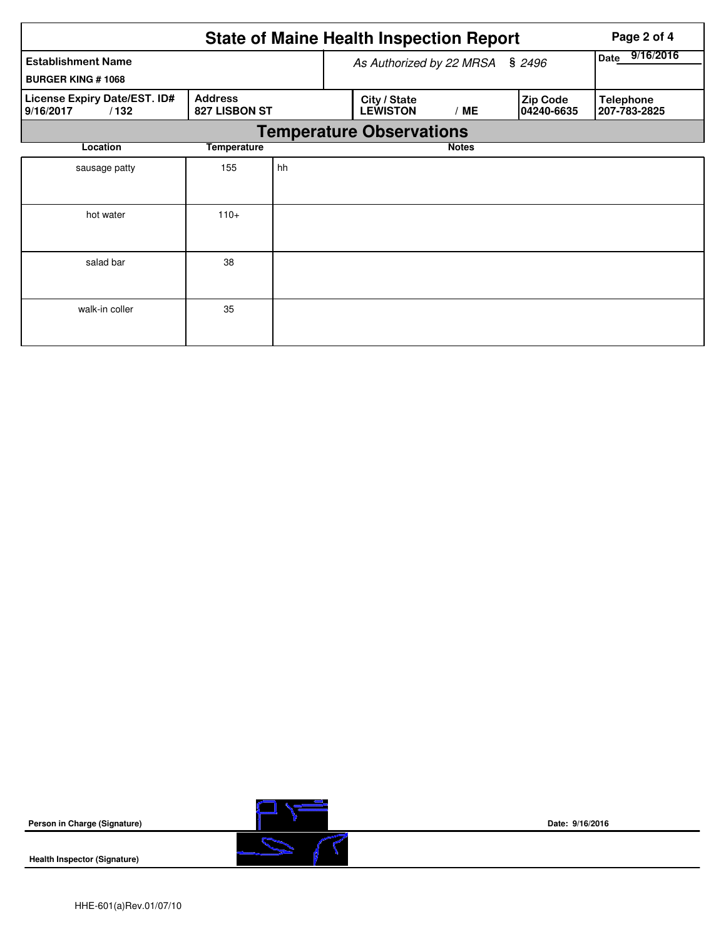|                                                       | Page 2 of 4                     |                          |                   |                                 |     |                                |                                  |  |  |
|-------------------------------------------------------|---------------------------------|--------------------------|-------------------|---------------------------------|-----|--------------------------------|----------------------------------|--|--|
| <b>Establishment Name</b><br><b>BURGER KING #1068</b> |                                 | As Authorized by 22 MRSA | 9/16/2016<br>Date |                                 |     |                                |                                  |  |  |
| License Expiry Date/EST. ID#<br>9/16/2017<br>/132     | <b>Address</b><br>827 LISBON ST |                          |                   | City / State<br><b>LEWISTON</b> | /ME | <b>Zip Code</b><br>104240-6635 | <b>Telephone</b><br>207-783-2825 |  |  |
| <b>Temperature Observations</b>                       |                                 |                          |                   |                                 |     |                                |                                  |  |  |
| Location                                              | <b>Notes</b>                    |                          |                   |                                 |     |                                |                                  |  |  |
| sausage patty                                         | 155                             | hh                       |                   |                                 |     |                                |                                  |  |  |
| hot water                                             | $110+$                          |                          |                   |                                 |     |                                |                                  |  |  |
| salad bar                                             | 38                              |                          |                   |                                 |     |                                |                                  |  |  |
| walk-in coller                                        | 35                              |                          |                   |                                 |     |                                |                                  |  |  |

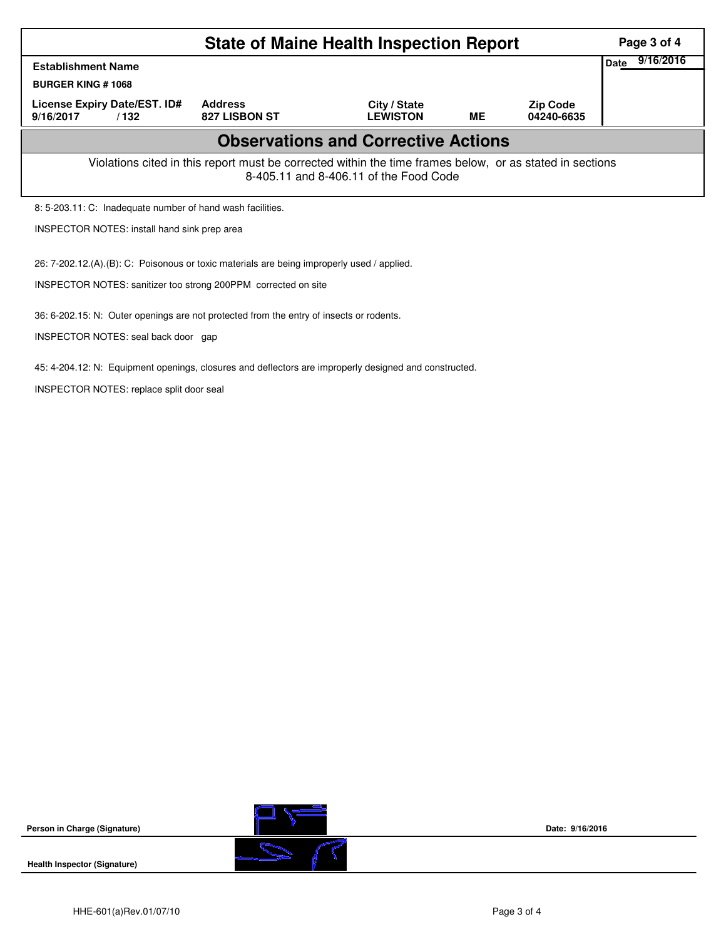|                                                                                                                                                    | Page 3 of 4<br>9/16/2016            |                                 |           |                               |  |  |  |  |  |  |
|----------------------------------------------------------------------------------------------------------------------------------------------------|-------------------------------------|---------------------------------|-----------|-------------------------------|--|--|--|--|--|--|
| <b>Establishment Name</b>                                                                                                                          |                                     |                                 |           |                               |  |  |  |  |  |  |
| <b>BURGER KING #1068</b>                                                                                                                           |                                     |                                 |           |                               |  |  |  |  |  |  |
| License Expiry Date/EST. ID#<br>9/16/2017<br>/132                                                                                                  | <b>Address</b><br>827 LISBON ST     | City / State<br><b>LEWISTON</b> | <b>ME</b> | <b>Zip Code</b><br>04240-6635 |  |  |  |  |  |  |
| <b>Observations and Corrective Actions</b>                                                                                                         |                                     |                                 |           |                               |  |  |  |  |  |  |
| Violations cited in this report must be corrected within the time frames below, or as stated in sections<br>8-405.11 and 8-406.11 of the Food Code |                                     |                                 |           |                               |  |  |  |  |  |  |
| 8: 5-203.11: C: Inadequate number of hand wash facilities.                                                                                         |                                     |                                 |           |                               |  |  |  |  |  |  |
| <b>INSPECTOR NOTES: install hand sink prep area</b>                                                                                                |                                     |                                 |           |                               |  |  |  |  |  |  |
| 26: 7-202.12.(A).(B): C: Poisonous or toxic materials are being improperly used / applied.                                                         |                                     |                                 |           |                               |  |  |  |  |  |  |
| INSPECTOR NOTES: sanitizer too strong 200PPM corrected on site                                                                                     |                                     |                                 |           |                               |  |  |  |  |  |  |
| 36: 6-202.15: N: Outer openings are not protected from the entry of insects or rodents.                                                            |                                     |                                 |           |                               |  |  |  |  |  |  |
|                                                                                                                                                    | INSPECTOR NOTES: seal back door gap |                                 |           |                               |  |  |  |  |  |  |
| 45: 4-204.12: N: Equipment openings, closures and deflectors are improperly designed and constructed.                                              |                                     |                                 |           |                               |  |  |  |  |  |  |

INSPECTOR NOTES: replace split door seal